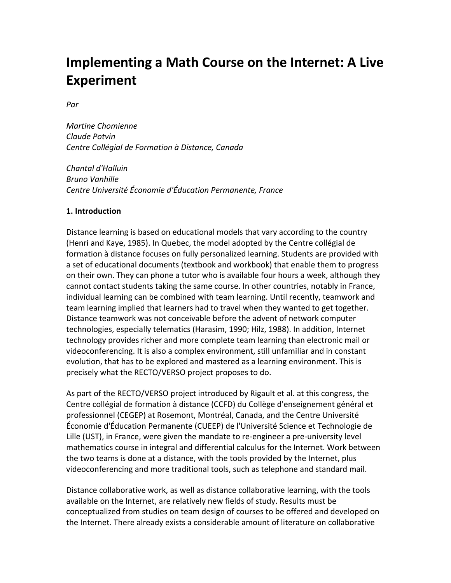# **Implementing a Math Course on the Internet: A Live Experiment**

 $Par$ 

*Martine Chomienne Claude Potvin Centre Collégial de Formation à Distance, Canada* 

*Chantal d'Halluin Bruno Vanhille Centre Université Économie d'Éducation Permanente, France* 

#### **1. Introduction**

Distance learning is based on educational models that vary according to the country (Henri and Kaye, 1985). In Quebec, the model adopted by the Centre collégial de formation à distance focuses on fully personalized learning. Students are provided with a set of educational documents (textbook and workbook) that enable them to progress on their own. They can phone a tutor who is available four hours a week, although they cannot contact students taking the same course. In other countries, notably in France, individual learning can be combined with team learning. Until recently, teamwork and team learning implied that learners had to travel when they wanted to get together. Distance teamwork was not conceivable before the advent of network computer technologies, especially telematics (Harasim, 1990; Hilz, 1988). In addition, Internet technology provides richer and more complete team learning than electronic mail or videoconferencing. It is also a complex environment, still unfamiliar and in constant evolution, that has to be explored and mastered as a learning environment. This is precisely what the RECTO/VERSO project proposes to do.

As part of the RECTO/VERSO project introduced by Rigault et al. at this congress, the Centre collégial de formation à distance (CCFD) du Collège d'enseignement général et professionnel (CEGEP) at Rosemont, Montréal, Canada, and the Centre Université Économie d'Éducation Permanente (CUEEP) de l'Université Science et Technologie de Lille (UST), in France, were given the mandate to re-engineer a pre-university level mathematics course in integral and differential calculus for the Internet. Work between the two teams is done at a distance, with the tools provided by the Internet, plus videoconferencing and more traditional tools, such as telephone and standard mail.

Distance collaborative work, as well as distance collaborative learning, with the tools available on the Internet, are relatively new fields of study. Results must be conceptualized from studies on team design of courses to be offered and developed on the Internet. There already exists a considerable amount of literature on collaborative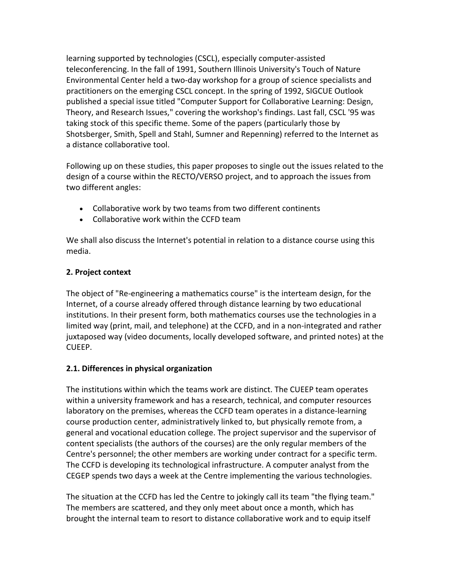learning supported by technologies (CSCL), especially computer‐assisted teleconferencing. In the fall of 1991, Southern Illinois University's Touch of Nature Environmental Center held a two‐day workshop for a group of science specialists and practitioners on the emerging CSCL concept. In the spring of 1992, SIGCUE Outlook published a special issue titled "Computer Support for Collaborative Learning: Design, Theory, and Research Issues," covering the workshop's findings. Last fall, CSCL '95 was taking stock of this specific theme. Some of the papers (particularly those by Shotsberger, Smith, Spell and Stahl, Sumner and Repenning) referred to the Internet as a distance collaborative tool.

Following up on these studies, this paper proposes to single out the issues related to the design of a course within the RECTO/VERSO project, and to approach the issues from two different angles:

- Collaborative work by two teams from two different continents
- Collaborative work within the CCFD team

We shall also discuss the Internet's potential in relation to a distance course using this media.

## **2. Project context**

The object of "Re‐engineering a mathematics course" is the interteam design, for the Internet, of a course already offered through distance learning by two educational institutions. In their present form, both mathematics courses use the technologies in a limited way (print, mail, and telephone) at the CCFD, and in a non‐integrated and rather juxtaposed way (video documents, locally developed software, and printed notes) at the CUEEP.

## **2.1. Differences in physical organization**

The institutions within which the teams work are distinct. The CUEEP team operates within a university framework and has a research, technical, and computer resources laboratory on the premises, whereas the CCFD team operates in a distance‐learning course production center, administratively linked to, but physically remote from, a general and vocational education college. The project supervisor and the supervisor of content specialists (the authors of the courses) are the only regular members of the Centre's personnel; the other members are working under contract for a specific term. The CCFD is developing its technological infrastructure. A computer analyst from the CEGEP spends two days a week at the Centre implementing the various technologies.

The situation at the CCFD has led the Centre to jokingly call its team "the flying team." The members are scattered, and they only meet about once a month, which has brought the internal team to resort to distance collaborative work and to equip itself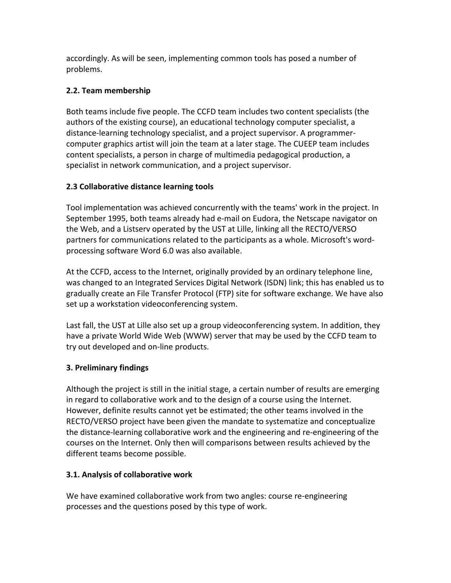accordingly. As will be seen, implementing common tools has posed a number of problems.

## **2.2. Team membership**

Both teams include five people. The CCFD team includes two content specialists (the authors of the existing course), an educational technology computer specialist, a distance‐learning technology specialist, and a project supervisor. A programmer‐ computer graphics artist will join the team at a later stage. The CUEEP team includes content specialists, a person in charge of multimedia pedagogical production, a specialist in network communication, and a project supervisor.

## **2.3 Collaborative distance learning tools**

Tool implementation was achieved concurrently with the teams' work in the project. In September 1995, both teams already had e‐mail on Eudora, the Netscape navigator on the Web, and a Listserv operated by the UST at Lille, linking all the RECTO/VERSO partners for communications related to the participants as a whole. Microsoft's word‐ processing software Word 6.0 was also available.

At the CCFD, access to the Internet, originally provided by an ordinary telephone line, was changed to an Integrated Services Digital Network (ISDN) link; this has enabled us to gradually create an File Transfer Protocol (FTP) site for software exchange. We have also set up a workstation videoconferencing system.

Last fall, the UST at Lille also set up a group videoconferencing system. In addition, they have a private World Wide Web (WWW) server that may be used by the CCFD team to try out developed and on‐line products.

# **3. Preliminary findings**

Although the project is still in the initial stage, a certain number of results are emerging in regard to collaborative work and to the design of a course using the Internet. However, definite results cannot yet be estimated; the other teams involved in the RECTO/VERSO project have been given the mandate to systematize and conceptualize the distance‐learning collaborative work and the engineering and re‐engineering of the courses on the Internet. Only then will comparisons between results achieved by the different teams become possible.

# **3.1. Analysis of collaborative work**

We have examined collaborative work from two angles: course re-engineering processes and the questions posed by this type of work.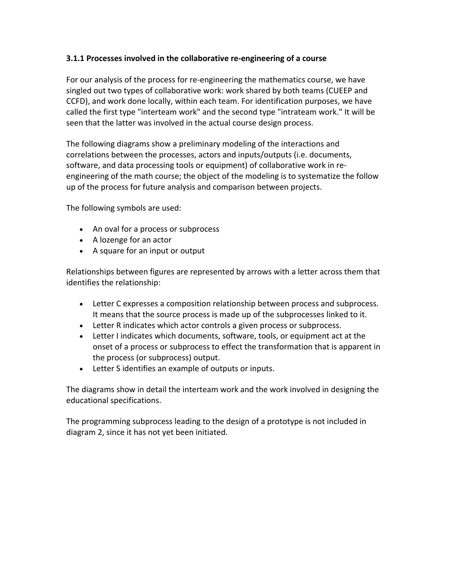## **3.1.1 Processes involved in the collaborative re‐engineering of a course**

For our analysis of the process for re‐engineering the mathematics course, we have singled out two types of collaborative work: work shared by both teams (CUEEP and CCFD), and work done locally, within each team. For identification purposes, we have called the first type "interteam work" and the second type "intrateam work." It will be seen that the latter was involved in the actual course design process.

The following diagrams show a preliminary modeling of the interactions and correlations between the processes, actors and inputs/outputs (i.e. documents, software, and data processing tools or equipment) of collaborative work in re‐ engineering of the math course; the object of the modeling is to systematize the follow up of the process for future analysis and comparison between projects.

The following symbols are used:

- An oval for a process or subprocess
- A lozenge for an actor
- A square for an input or output

Relationships between figures are represented by arrows with a letter across them that identifies the relationship:

- Letter C expresses a composition relationship between process and subprocess. It means that the source process is made up of the subprocesses linked to it.
- Letter R indicates which actor controls a given process or subprocess.
- Letter I indicates which documents, software, tools, or equipment act at the onset of a process or subprocess to effect the transformation that is apparent in the process (or subprocess) output.
- Letter S identifies an example of outputs or inputs.

The diagrams show in detail the interteam work and the work involved in designing the educational specifications.

The programming subprocess leading to the design of a prototype is not included in diagram 2, since it has not yet been initiated.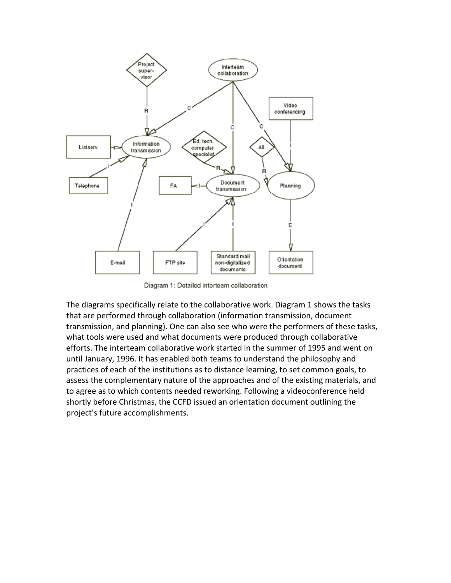

Diagram 1: Detailed interteam collaboration

The diagrams specifically relate to the collaborative work. Diagram 1 shows the tasks that are performed through collaboration (information transmission, document transmission, and planning). One can also see who were the performers of these tasks, what tools were used and what documents were produced through collaborative efforts. The interteam collaborative work started in the summer of 1995 and went on until January, 1996. It has enabled both teams to understand the philosophy and practices of each of the institutions as to distance learning, to set common goals, to assess the complementary nature of the approaches and of the existing materials, and to agree as to which contents needed reworking. Following a videoconference held shortly before Christmas, the CCFD issued an orientation document outlining the project's future accomplishments.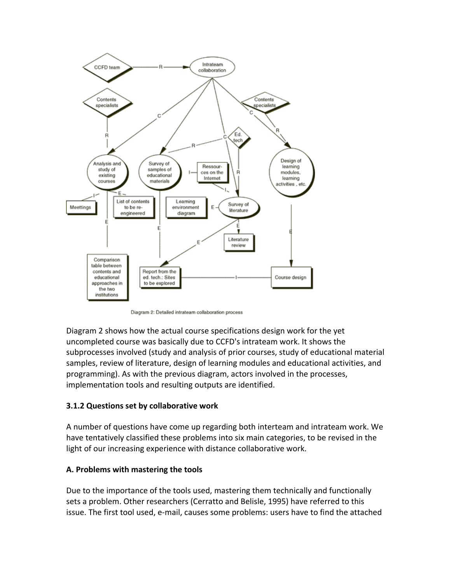

Diagram 2: Detailed intrateam collaboration process

Diagram 2 shows how the actual course specifications design work for the yet uncompleted course was basically due to CCFD's intrateam work. It shows the subprocesses involved (study and analysis of prior courses, study of educational material samples, review of literature, design of learning modules and educational activities, and programming). As with the previous diagram, actors involved in the processes, implementation tools and resulting outputs are identified.

## **3.1.2 Questions set by collaborative work**

A number of questions have come up regarding both interteam and intrateam work. We have tentatively classified these problems into six main categories, to be revised in the light of our increasing experience with distance collaborative work.

## **A. Problems with mastering the tools**

Due to the importance of the tools used, mastering them technically and functionally sets a problem. Other researchers (Cerratto and Belisle, 1995) have referred to this issue. The first tool used, e‐mail, causes some problems: users have to find the attached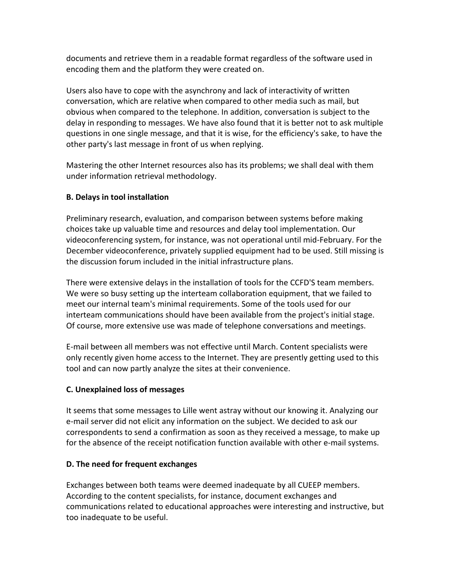documents and retrieve them in a readable format regardless of the software used in encoding them and the platform they were created on.

Users also have to cope with the asynchrony and lack of interactivity of written conversation, which are relative when compared to other media such as mail, but obvious when compared to the telephone. In addition, conversation is subject to the delay in responding to messages. We have also found that it is better not to ask multiple questions in one single message, and that it is wise, for the efficiency's sake, to have the other party's last message in front of us when replying.

Mastering the other Internet resources also has its problems; we shall deal with them under information retrieval methodology.

## **B. Delays in tool installation**

Preliminary research, evaluation, and comparison between systems before making choices take up valuable time and resources and delay tool implementation. Our videoconferencing system, for instance, was not operational until mid‐February. For the December videoconference, privately supplied equipment had to be used. Still missing is the discussion forum included in the initial infrastructure plans.

There were extensive delays in the installation of tools for the CCFD'S team members. We were so busy setting up the interteam collaboration equipment, that we failed to meet our internal team's minimal requirements. Some of the tools used for our interteam communications should have been available from the project's initial stage. Of course, more extensive use was made of telephone conversations and meetings.

E‐mail between all members was not effective until March. Content specialists were only recently given home access to the Internet. They are presently getting used to this tool and can now partly analyze the sites at their convenience.

## **C. Unexplained loss of messages**

It seems that some messages to Lille went astray without our knowing it. Analyzing our e‐mail server did not elicit any information on the subject. We decided to ask our correspondents to send a confirmation as soon as they received a message, to make up for the absence of the receipt notification function available with other e-mail systems.

## **D. The need for frequent exchanges**

Exchanges between both teams were deemed inadequate by all CUEEP members. According to the content specialists, for instance, document exchanges and communications related to educational approaches were interesting and instructive, but too inadequate to be useful.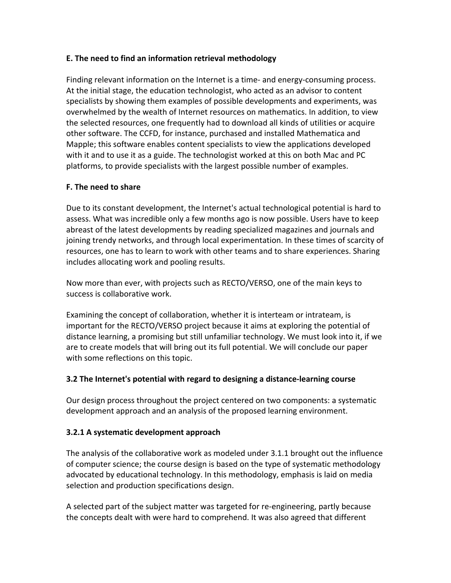## **E. The need to find an information retrieval methodology**

Finding relevant information on the Internet is a time‐ and energy‐consuming process. At the initial stage, the education technologist, who acted as an advisor to content specialists by showing them examples of possible developments and experiments, was overwhelmed by the wealth of Internet resources on mathematics. In addition, to view the selected resources, one frequently had to download all kinds of utilities or acquire other software. The CCFD, for instance, purchased and installed Mathematica and Mapple; this software enables content specialists to view the applications developed with it and to use it as a guide. The technologist worked at this on both Mac and PC platforms, to provide specialists with the largest possible number of examples.

## **F. The need to share**

Due to its constant development, the Internet's actual technological potential is hard to assess. What was incredible only a few months ago is now possible. Users have to keep abreast of the latest developments by reading specialized magazines and journals and joining trendy networks, and through local experimentation. In these times of scarcity of resources, one has to learn to work with other teams and to share experiences. Sharing includes allocating work and pooling results.

Now more than ever, with projects such as RECTO/VERSO, one of the main keys to success is collaborative work.

Examining the concept of collaboration, whether it is interteam or intrateam, is important for the RECTO/VERSO project because it aims at exploring the potential of distance learning, a promising but still unfamiliar technology. We must look into it, if we are to create models that will bring out its full potential. We will conclude our paper with some reflections on this topic.

## **3.2 The Internet's potential with regard to designing a distance‐learning course**

Our design process throughout the project centered on two components: a systematic development approach and an analysis of the proposed learning environment.

## **3.2.1 A systematic development approach**

The analysis of the collaborative work as modeled under 3.1.1 brought out the influence of computer science; the course design is based on the type of systematic methodology advocated by educational technology. In this methodology, emphasis is laid on media selection and production specifications design.

A selected part of the subject matter was targeted for re‐engineering, partly because the concepts dealt with were hard to comprehend. It was also agreed that different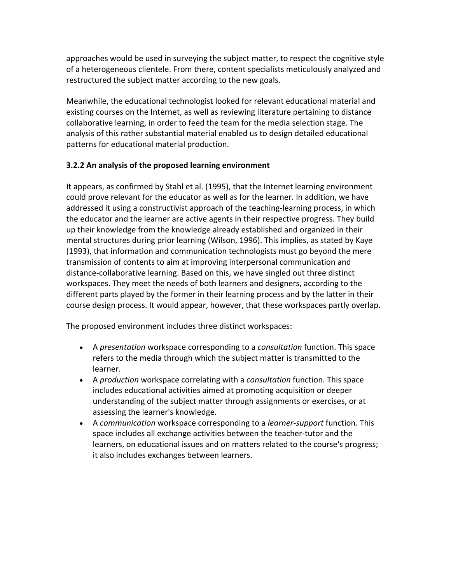approaches would be used in surveying the subject matter, to respect the cognitive style of a heterogeneous clientele. From there, content specialists meticulously analyzed and restructured the subject matter according to the new goals.

Meanwhile, the educational technologist looked for relevant educational material and existing courses on the Internet, as well as reviewing literature pertaining to distance collaborative learning, in order to feed the team for the media selection stage. The analysis of this rather substantial material enabled us to design detailed educational patterns for educational material production.

## **3.2.2 An analysis of the proposed learning environment**

It appears, as confirmed by Stahl et al. (1995), that the Internet learning environment could prove relevant for the educator as well as for the learner. In addition, we have addressed it using a constructivist approach of the teaching-learning process, in which the educator and the learner are active agents in their respective progress. They build up their knowledge from the knowledge already established and organized in their mental structures during prior learning (Wilson, 1996). This implies, as stated by Kaye (1993), that information and communication technologists must go beyond the mere transmission of contents to aim at improving interpersonal communication and distance‐collaborative learning. Based on this, we have singled out three distinct workspaces. They meet the needs of both learners and designers, according to the different parts played by the former in their learning process and by the latter in their course design process. It would appear, however, that these workspaces partly overlap.

The proposed environment includes three distinct workspaces:

- A *presentation* workspace corresponding to a *consultation* function. This space refers to the media through which the subject matter is transmitted to the learner.
- A *production* workspace correlating with a *consultation* function. This space includes educational activities aimed at promoting acquisition or deeper understanding of the subject matter through assignments or exercises, or at assessing the learner's knowledge.
- A *communication* workspace corresponding to a *learner‐support* function. This space includes all exchange activities between the teacher-tutor and the learners, on educational issues and on matters related to the course's progress; it also includes exchanges between learners.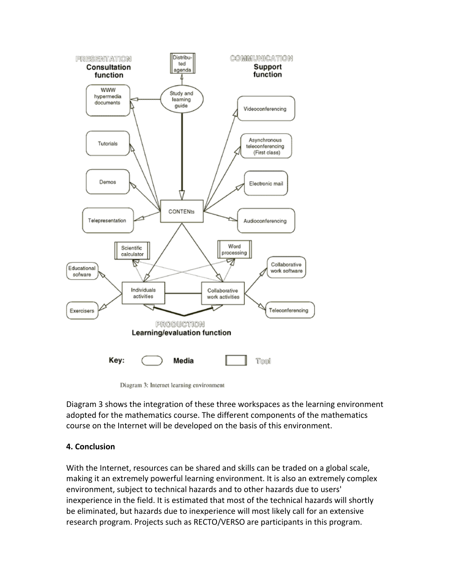



Diagram 3 shows the integration of these three workspaces as the learning environment adopted for the mathematics course. The different components of the mathematics course on the Internet will be developed on the basis of this environment.

#### **4. Conclusion**

With the Internet, resources can be shared and skills can be traded on a global scale, making it an extremely powerful learning environment. It is also an extremely complex environment, subject to technical hazards and to other hazards due to users' inexperience in the field. It is estimated that most of the technical hazards will shortly be eliminated, but hazards due to inexperience will most likely call for an extensive research program. Projects such as RECTO/VERSO are participants in this program.